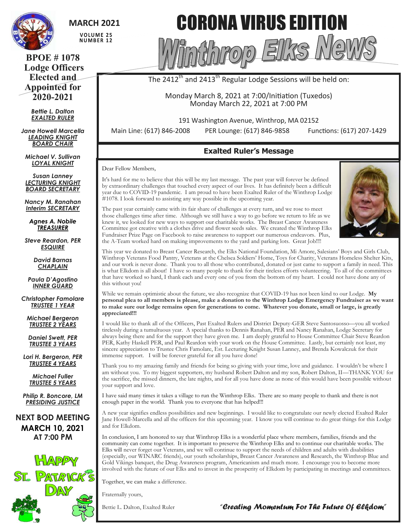

# **MARCH 2021**

VOLUME 25 **NUMBER 12** 

**BPOE # 1078 Lodge Officers Elected and Appointed for 2020-2021**

> *Bettie L. Dalton EXALTED RULER*

*Jane Howell Marcella LEADING KNIGHT BOARD CHAIR*

*Michael V. Sullivan LOYAL KNIGHT*

*Susan Lanney LECTURING KNIGHT BOARD SECRETARY*

*Nancy M. Ranahan Interim SECRETARY*

*Agnes A. Nobile TREASURER*

*Steve Reardon, PER ESQUIRE*

> *David Barnas CHAPLAIN*

*Paula D'Agostino INNER GUARD*

*Christopher Famolare TRUSTEE 1 YEAR*

*Michael Bergeron TRUSTEE 2 YEARS*

*Daniel Swett, PER TRUSTEE 3 YEARS*

*Lori H. Bergeron, PER TRUSTEE 4 YEARS*

> *Michael Fuller TRUSTEE 5 YEARS*

*Philip R. Boncore, LM PRESIDING JUSTICE*

**NEXT BOD MEETING MARCH 10, 2021 AT 7:00 PM**



# CORONA VIRUS EDITION

The  $2412^{\text{th}}$  and  $2413^{\text{th}}$  Regular Lodge Sessions will be held on:

Hhrzoro

Monday March 8, 2021 at 7:00/Initiation (Tuxedos) Monday March 22, 2021 at 7:00 PM

191 Washington Avenue, Winthrop, MA 02152

Main Line: (617) 846-2008 PER Lounge: (617) 846-9858 Functions: (617) 207-1429

# **Exalted Ruler's Message**

Dear Fellow Members,

It's hard for me to believe that this will be my last message. The past year will forever be defined by extraordinary challenges that touched every aspect of our lives. It has definitely been a difficult year due to COVID-19 pandemic. I am proud to have been Exalted Ruler of the Winthrop Lodge #1078. I look forward to assisting any way possible in the upcoming year.

The past year certainly came with its fair share of challenges at every turn, and we rose to meet those challenges time after time. Although we still have a way to go before we return to life as we knew it, we looked for new ways to support our charitable works. The Breast Cancer Awareness Committee got creative with a clothes drive and flower seeds sales. We created the Winthrop Elks Fundraiser Prize Page on Facebook to raise awareness to support our numerous endeavors. Plus, the A-Team worked hard on making improvements to the yard and parking lots. Great Job!!!!

This year we donated to Breast Cancer Research, the Elks National Foundation, Mi Amore, Salesians' Boys and Girls Club, Winthrop Veterans Food Pantry, Veterans at the Chelsea Soldiers' Home, Toys for Charity, Veterans Homeless Shelter Kits, and our work is never done. Thank you to all those who contributed, donated or just came to support a family in need. This is what Elkdom is all about! I have so many people to thank for their tireless efforts volunteering. To all of the committees that have worked so hard, I thank each and every one of you from the bottom of my heart. I could not have done any of this without you!

While we remain optimistic about the future, we also recognize that COVID-19 has not been kind to our Lodge. **My personal plea to all members is please, make a donation to the Winthrop Lodge Emergency Fundraiser as we want to make sure our lodge remains open for generations to come. Whatever you donate, small or large, is greatly appreciated!!!**

I would like to thank all of the Officers, Past Exalted Rulers and District Deputy-GER Steve Santosuosso—you all worked tirelessly during a tumultuous year. A special thanks to Dennis Ranahan, PER and Nancy Ranahan, Lodge Secretary for always being there and for the support they have given me. I am deeply grateful to House Committee Chair Steve Reardon PER, Kathy Haskell PER, and Paul Reardon with your work on the House Committee. Lastly, but certainly not least, my sincere appreciation to Trustee Chris Famolare, Est. Lecturing Knight Susan Lanney, and Brenda Kowalczuk for their immense support. I will be forever grateful for all you have done!

Thank you to my amazing family and friends for being so giving with your time, love and guidance. I wouldn't be where I am without you. To my biggest supporters, my husband Robert Dalton and my son, Robert Dalton, II—THANK YOU for the sacrifice, the missed dinners, the late nights, and for all you have done as none of this would have been possible without your support and love.

I have said many times it takes a village to run the Winthrop Elks. There are so many people to thank and there is not enough paper in the world. Thank you to everyone that has helped!!!

A new year signifies endless possibilities and new beginnings. I would like to congratulate our newly elected Exalted Ruler Jane Howell-Marcella and all the officers for this upcoming year. I know you will continue to do great things for this Lodge and for Elkdom.

In conclusion, I am honored to say that Winthrop Elks is a wonderful place where members, families, friends and the community can come together. It is important to preserve the Winthrop Elks and to continue our charitable works. The Elks will never forget our Veterans, and we will continue to support the needs of children and adults with disabilities (especially, our WINARC friends), our youth scholarships, Breast Cancer Awareness and Research, the Winthrop Blue and Gold Vikings banquet, the Drug Awareness program, Americanism and much more. I encourage you to become more involved with the future of our Elks and to invest in the prosperity of Elkdom by participating in meetings and committees.

Together, we can make a difference.

Fraternally yours,

Bettie L. Dalton, Exalted Ruler

*"Creating Momentum For The Future Of Elkdom"* 

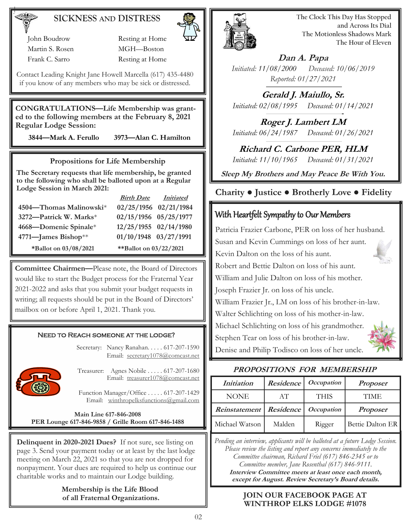# **SICKNESS AND DISTRESS**

 John Boudrow Resting at Home Martin S. Rosen MGH—Boston Frank C. Sarro Resting at Home

Contact Leading Knight Jane Howell Marcella (617) 435-4480 if you know of any members who may be sick or distressed.

**CONGRATULATIONS—Life Membership was granted to the following members at the February 8, 2021 Regular Lodge Session:** 

 **3844—Mark A. Ferullo 3973—Alan C. Hamilton** 

#### **Propositions for Life Membership**

**The Secretary requests that life membership, be granted to the following who shall be balloted upon at a Regular Lodge Session in March 2021:**

|                         | <u>Birth Date</u>      | <i>Initiated</i> |
|-------------------------|------------------------|------------------|
| 4504-Thomas Malinowski* | 02/25/1956 02/21/1984  |                  |
| 3272-Patrick W. Marks*  | 02/15/1956 05/25/1977  |                  |
| 4668—Domenic Spinale*   | 12/25/1955 02/14/1980  |                  |
| 4771-James Bishop**     | 01/10/1948 03/27/1991  |                  |
| *Ballot on 03/08/2021   | **Ballot on 03/22/2021 |                  |

**Committee Chairmen—**Please note, the Board of Directors would like to start the Budget process for the Fraternal Year 2021-2022 and asks that you submit your budget requests in writing; all requests should be put in the Board of Directors' mailbox on or before April 1, 2021. Thank you.

#### Need to Reach someone at the lodge?

Secretary: Nancy Ranahan. . . . . 617-207-1590 Email: [secretary1078@comcast.net](mailto:SECRETARY1078@COMCAST.NET) 



Treasurer: Agnes Nobile . . . . . 617-207-1680 Email: treasure[r1078@comcast.net](mailto:SECRETARY1078@COMCAST.NET)

Function Manager/Office . . . . . 617-207-1429 Email: [winthropelksfunctions@gmail.com](mailto:winthropelksfunctions@gmail.com)

**Main Line 617-846-2008 PER Lounge 617-846-9858 / Grille Room 617-846-1488**

**Delinquent in 2020-2021 Dues?** If not sure, see listing on page 3. Send your payment today or at least by the last lodge meeting on March 22, 2021 so that you are not dropped for nonpayment. Your dues are required to help us continue our charitable works and to maintain our Lodge building.

**Membership is the Life Blood**



**The Clock This Day Has Stopped and Across Its Dial The Motionless Shadows Mark The Hour of Eleven**

**Dan A. Papa** *Initiated: 11/08/2000 Deceased: 10/06/2019 Reported: 01/27/2021*

**Gerald J. Maiullo, Sr.** *Initiated: 02/08/1995 Deceased: 01/14/2021*

**Roger J. Lambert LM** *Initiated: 06/24/1987 Deceased: 01/26/2021*

**Richard C. Carbone PER, HLM** *Initiated: 11/10/1965 Deceased: 01/31/2021*

**Sleep My Brothers and May Peace Be With You.**

## **Charity ● Justice ● Brotherly Love ● Fidelity**

# With Heartfelt Sympathy to Our Members

Patricia Frazier Carbone, PER on loss of her husband. Susan and Kevin Cummings on loss of her aunt. Kevin Dalton on the loss of his aunt. Robert and Bettie Dalton on loss of his aunt. William and Julie Dalton on loss of his mother. Joseph Frazier Jr. on loss of his uncle. William Frazier Jr., LM on loss of his brother-in-law. Walter Schlichting on loss of his mother-in-law. Michael Schlichting on loss of his grandmother. Stephen Tear on loss of his brother-in-law. Denise and Philip Todisco on loss of her uncle.



| Initiation     | Residence | <i>Occupation</i> | <b>Proposer</b>  |
|----------------|-----------|-------------------|------------------|
| NONE           | AT        | <b>THIS</b>       | TIME             |
| Reinstatement  | Residence | <i>Occupation</i> | <b>Proposer</b>  |
| Michael Watson | Malden    | Rigger            | Bettie Dalton ER |

*Pending an interview, applicants will be balloted at a future Lodge Session. Please review the listing and report any concerns immediately to the Committee chairman, Richard Friel (617) 846-2345 or to Committee member, Jane Rosenthal (617) 846-9111.*

**Interview Committee meets at least once each month, except for August. Review Secretary's Board details.**

#### of all Fraternal Organizations. **JOIN OUR FACEBOOK PAGE AT WINTHROP ELKS LODGE #1078**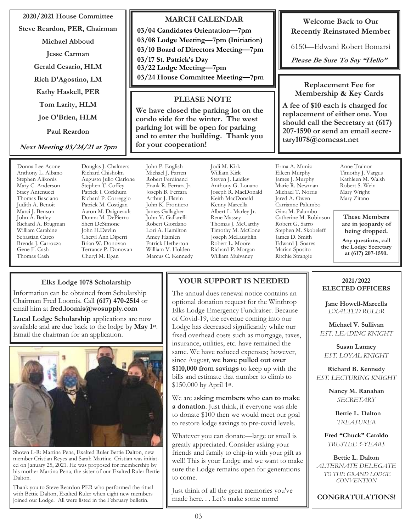#### **2020/2021 House Committee**

**Steve Reardon, PER, Chairman**

**Michael Abboud**

**Jesse Carman**

**Gerald Cesario, HLM**

**Rich D'Agostino, LM**

**Kathy Haskell, PER**

**Tom Larity, HLM**

**Joe O'Brien, HLM**

**Paul Reardon**

**Next Meeting 03/24/21 at 7pm**

Donna Lee Acone Anthony L. Albano Stephen Alikonis Mary C. Anderson Stacy Antenucci Thomas Basciano Judith A. Benoit Marci J. Benson John A. Betley Richard A. Brugman William Carabine Sebastian Carco Brenda J. Carrozza Gene F. Cash Thomas Cash

Douglas J. Chalmers Richard Chisholm Augusto Julio Ciarlone Stephen T. Coffey Patrick J. Corkhum Richard P. Correggio Patrick M. Costigan Aaron M. Daigneault Donna M. DePierro Sheri DeSimone John H.Devlin Cheryl Ann Diperri Brian W. Donovan Terrance P. Donovan Cheryl M. Egan

John P. English Michael J. Farren Robert Ferdinand Frank R. Ferrara Jr. Joseph B. Ferrara Arthur J. Flavin John K. Frontiero James Gallagher John V. Gallarelli Robert Giordano Lori A. Hamilton Amey Hamlen Patrick Hetherton William V. Holden Marcus C. Kennedy

**for your cooperation!**

Jodi M. Kirk William Kirk Steven J. Laidley Anthony G. Lonano Joseph R. MacDonald Keith MacDonald Kenny Marcella Albert L. Marley Jr. Rene Massey Thomas J. McCarthy Timothy M. McCone Joseph McLaughlin Robert L. Moore Richard P. Morgan William Mulvaney

**MARCH CALENDAR**

**03/24 House Committee Meeting—7pm**

**PLEASE NOTE We have closed the parking lot on the condo side for the winter. The west parking lot will be open for parking and to enter the building. Thank you** 

**03/04 Candidates Orientation—7pm 03/08 Lodge Meeting—7pm (Initiation) 03/10 Board of Directors Meeting—7pm**

**03/17 St. Patrick's Day 03/22 Lodge Meeting—7pm**

**Welcome Back to Our Recently Reinstated Member**

6150—Edward Robert Bomarsi

**Please Be Sure To Say "Hello"**

**Replacement Fee for Membership & Key Cards**

**A fee of \$10 each is charged for replacement of either one. You should call the Secretary at (617) 207-1590 or send an email secretary1078@comcast.net** 

Erma A. Muniz Eileen Murphy James J. Murphy Marie R. Newman Michael T. Norris Jared A. Owen Carrianne Palumbo Gina M. Palumbo Catherine M. Robinson Robert G. Sarro Stephen M. Skobeleff James D. Smith Edward J. Soares Marian Sposito Ritchie Strangie

Anne Trainor Timothy J. Vargus Kathleen M. Walsh Robert S. Wein Mary Wright Mary Zitano

**These Members are in jeopardy of being dropped.**

**Any questions, call the Lodge Secretary at (617) 207-1590.**

#### **Elks Lodge 1078 Scholarship**

Information can be obtained from Scholarship Chairman Fred Loomis. Call **(617) 470-2514** or email him at **fred.loomis@wosupply.com**

**Local Lodge Scholarship** applications are now available and are due back to the lodge by **May 1st** . Email the chairman for an application.



Shown L-R: Martina Pena, Exalted Ruler Bettie Dalton, new member Cristian Reyes and Sarah Martine. Cristian was initiated on January 25, 2021. He was proposed for membership by his mother Martina Pena, the sister of our Exalted Ruler Bettie Dalton.

Thank you to Steve Reardon PER who performed the ritual with Bettie Dalton, Exalted Ruler when eight new members joined our Lodge. All were listed in the February bulletin.

# **YOUR SUPPORT IS NEEDED**

The annual dues renewal notice contains an optional donation request for the Winthrop Elks Lodge Emergency Fundraiser. Because of Covid-19, the revenue coming into our Lodge has decreased significantly while our fixed overhead costs such as mortgage, taxes, insurance, utilities, etc. have remained the same. We have reduced expenses; however, since August, **we have pulled out over \$110,000 from savings** to keep up with the bills and estimate that number to climb to \$150,000 by April 1st.

We are a**sking members who can to make a donation**. Just think, if everyone was able to donate \$100 then we would meet our goal to restore lodge savings to pre-covid levels.

Whatever you can donate—large or small is greatly appreciated. Consider asking your friends and family to chip-in with your gift as well! This is your Lodge and we want to make sure the Lodge remains open for generations to come.

Just think of all the great memories you've made here. . . Let's make some more!

#### **2021/2022 ELECTED OFFICERS**

**Jane Howell-Marcella** *EXALTED RULER* 

**Michael V. Sullivan** *EST. LEADING KNIGHT*

**Susan Lanney** *EST. LOYAL KNIGHT*

**Richard B. Kennedy** *EST. LECTURING KNIGHT*

> **Nancy M. Ranahan** *SECRETARY*

> > **Bettie L. Dalton** *TREASURER*

**Fred "Chuck" Cataldo** *TRUSTEE 5-YEARS*

**Bettie L. Dalton** *ALTERNATE DELEGATE TO THE GRAND LODGE CONVENTION*

**CONGRATULATIONS!**